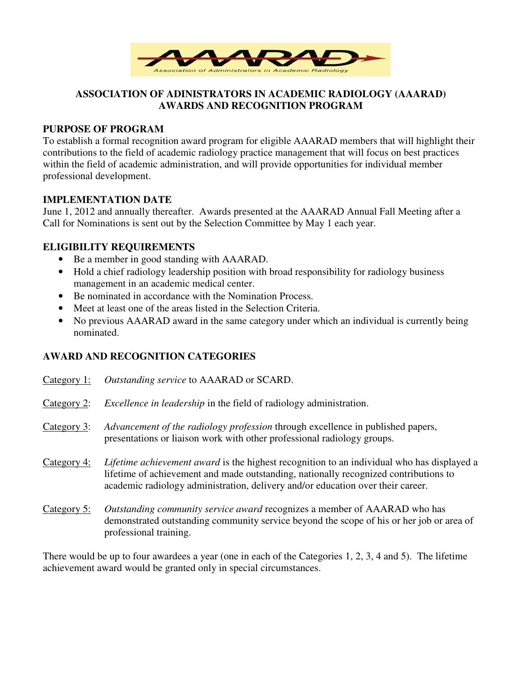

# **ASSOCIATION OF ADINISTRATORS IN ACADEMIC RADIOLOGY (AAARAD) AWARDS AND RECOGNITION PROGRAM**

### **PURPOSE OF PROGRAM**

To establish a formal recognition award program for eligible AAARAD members that will highlight their contributions to the field of academic radiology practice management that will focus on best practices within the field of academic administration, and will provide opportunities for individual member professional development.

### **IMPLEMENTATION DATE**

June 1, 2012 and annually thereafter. Awards presented at the AAARAD Annual Fall Meeting after a Call for Nominations is sent out by the Selection Committee by May 1 each year.

## **ELIGIBILITY REQUIREMENTS**

- Be a member in good standing with AAARAD.
- Hold a chief radiology leadership position with broad responsibility for radiology business management in an academic medical center.
- Be nominated in accordance with the Nomination Process.
- Meet at least one of the areas listed in the Selection Criteria.
- No previous AAARAD award in the same category under which an individual is currently being nominated.

## **AWARD AND RECOGNITION CATEGORIES**

| Category 1: | Outstanding service to AAARAD or SCARD.                                                                                                                                                                                                                                      |
|-------------|------------------------------------------------------------------------------------------------------------------------------------------------------------------------------------------------------------------------------------------------------------------------------|
| Category 2: | <i>Excellence in leadership</i> in the field of radiology administration.                                                                                                                                                                                                    |
| Category 3: | Advancement of the radiology profession through excellence in published papers,<br>presentations or liaison work with other professional radiology groups.                                                                                                                   |
| Category 4: | <i>Lifetime achievement award</i> is the highest recognition to an individual who has displayed a<br>lifetime of achievement and made outstanding, nationally recognized contributions to<br>academic radiology administration, delivery and/or education over their career. |
| Category 5: | Outstanding community service award recognizes a member of AAARAD who has<br>demonstrated outstanding community service beyond the scope of his or her job or area of<br>professional training.                                                                              |

There would be up to four awardees a year (one in each of the Categories 1, 2, 3, 4 and 5). The lifetime achievement award would be granted only in special circumstances.